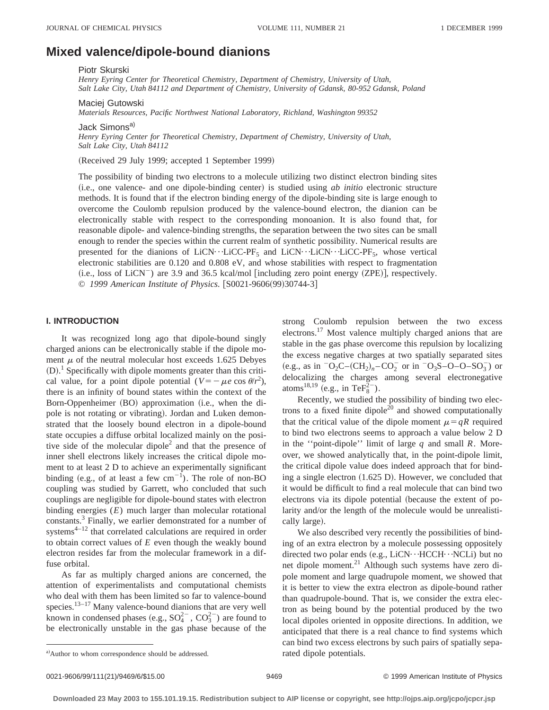# **Mixed valence/dipole-bound dianions**

Piotr Skurski

*Henry Eyring Center for Theoretical Chemistry, Department of Chemistry, University of Utah, Salt Lake City, Utah 84112 and Department of Chemistry, University of Gdansk, 80-952 Gdansk, Poland*

Maciej Gutowski

*Materials Resources, Pacific Northwest National Laboratory, Richland, Washington 99352*

Jack Simons<sup>a)</sup>

*Henry Eyring Center for Theoretical Chemistry, Department of Chemistry, University of Utah, Salt Lake City, Utah 84112*

(Received 29 July 1999; accepted 1 September 1999)

The possibility of binding two electrons to a molecule utilizing two distinct electron binding sites (i.e., one valence- and one dipole-binding center) is studied using *ab initio* electronic structure methods. It is found that if the electron binding energy of the dipole-binding site is large enough to overcome the Coulomb repulsion produced by the valence-bound electron, the dianion can be electronically stable with respect to the corresponding monoanion. It is also found that, for reasonable dipole- and valence-binding strengths, the separation between the two sites can be small enough to render the species within the current realm of synthetic possibility. Numerical results are presented for the dianions of LiCN $\cdot \cdot$ LiCC-PF<sub>5</sub> and LiCN $\cdot \cdot$ LiCC-PF<sub>5</sub>, whose vertical electronic stabilities are 0.120 and 0.808 eV, and whose stabilities with respect to fragmentation  $(i.e., loss of LiCN^-)$  are 3.9 and 36.5 kcal/mol [including zero point energy  $(ZPE)$ ], respectively. © 1999 American Institute of Physics. [S0021-9606(99)30744-3]

### **I. INTRODUCTION**

It was recognized long ago that dipole-bound singly charged anions can be electronically stable if the dipole moment  $\mu$  of the neutral molecular host exceeds 1.625 Debyes  $(D)$ .<sup>1</sup> Specifically with dipole moments greater than this critical value, for a point dipole potential  $(V = -\mu e \cos \theta / r^2)$ , there is an infinity of bound states within the context of the Born-Oppenheimer (BO) approximation (i.e., when the dipole is not rotating or vibrating). Jordan and Luken demonstrated that the loosely bound electron in a dipole-bound state occupies a diffuse orbital localized mainly on the positive side of the molecular dipole<sup>2</sup> and that the presence of inner shell electrons likely increases the critical dipole moment to at least 2 D to achieve an experimentally significant binding (e.g., of at least a few  $cm^{-1}$ ). The role of non-BO coupling was studied by Garrett, who concluded that such couplings are negligible for dipole-bound states with electron binding energies (*E*) much larger than molecular rotational constants.3 Finally, we earlier demonstrated for a number of systems $4-12$  that correlated calculations are required in order to obtain correct values of *E* even though the weakly bound electron resides far from the molecular framework in a diffuse orbital.

As far as multiply charged anions are concerned, the attention of experimentalists and computational chemists who deal with them has been limited so far to valence-bound species. $13-17$  Many valence-bound dianions that are very well known in condensed phases (e.g.,  $SO_4^{2-}$ ,  $CO_3^{2-}$ ) are found to be electronically unstable in the gas phase because of the strong Coulomb repulsion between the two excess electrons.17 Most valence multiply charged anions that are stable in the gas phase overcome this repulsion by localizing the excess negative charges at two spatially separated sites  $(e.g., as in <sup>-</sup>O<sub>2</sub>C-(CH<sub>2</sub>)<sub>n</sub> - CO<sub>2</sub><sup>-</sup> or in <sup>-</sup>O<sub>3</sub>S - O - O - SO<sub>3</sub><sup>-</sup>)$  or delocalizing the charges among several electronegative atoms<sup>18,19</sup> (e.g., in Te $F_8^{2-}$ ).

Recently, we studied the possibility of binding two electrons to a fixed finite dipole<sup>20</sup> and showed computationally that the critical value of the dipole moment  $\mu=qR$  required to bind two electrons seems to approach a value below 2 D in the ''point-dipole'' limit of large *q* and small *R*. Moreover, we showed analytically that, in the point-dipole limit, the critical dipole value does indeed approach that for binding a single electron  $(1.625 \text{ D})$ . However, we concluded that it would be difficult to find a real molecule that can bind two electrons via its dipole potential (because the extent of polarity and/or the length of the molecule would be unrealistically large).

We also described very recently the possibilities of binding of an extra electron by a molecule possessing oppositely directed two polar ends (e.g., LiCN…HCCH…NCLi) but no net dipole moment.<sup>21</sup> Although such systems have zero dipole moment and large quadrupole moment, we showed that it is better to view the extra electron as dipole-bound rather than quadrupole-bound. That is, we consider the extra electron as being bound by the potential produced by the two local dipoles oriented in opposite directions. In addition, we anticipated that there is a real chance to find systems which can bind two excess electrons by such pairs of spatially sepa-

0021-9606/99/111(21)/9469/6/\$15.00 9469 9469 9469 9469 9469 996 999 American Institute of Physics

a) Author to whom correspondence should be addressed. Tated dipole potentials.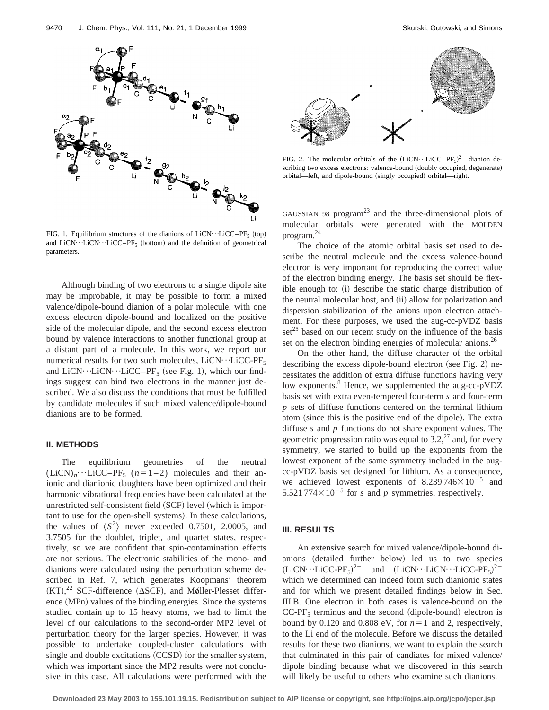

FIG. 1. Equilibrium structures of the dianions of LiCN $\cdots$ LiCC–PF<sub>5</sub> (top) and LiCN $\cdots$ LiCN $\cdots$ LiCC–PF<sub>5</sub> (bottom) and the definition of geometrical parameters.

Although binding of two electrons to a single dipole site may be improbable, it may be possible to form a mixed valence/dipole-bound dianion of a polar molecule, with one excess electron dipole-bound and localized on the positive side of the molecular dipole, and the second excess electron bound by valence interactions to another functional group at a distant part of a molecule. In this work, we report our numerical results for two such molecules,  $LiCN \cdot \cdot LiCC-PF_5$ and LiCN $\cdots$ LiCN $\cdots$ LiCC–PF<sub>5</sub> (see Fig. 1), which our findings suggest can bind two electrons in the manner just described. We also discuss the conditions that must be fulfilled by candidate molecules if such mixed valence/dipole-bound dianions are to be formed.

## **II. METHODS**

The equilibrium geometries of the neutral  $(LiCN)_n \cdot \cdot \cdot LiCC-PF_5$  ( $n=1-2$ ) molecules and their anionic and dianionic daughters have been optimized and their harmonic vibrational frequencies have been calculated at the unrestricted self-consistent field (SCF) level (which is important to use for the open-shell systems). In these calculations, the values of  $\langle S^2 \rangle$  never exceeded 0.7501, 2.0005, and 3.7505 for the doublet, triplet, and quartet states, respectively, so we are confident that spin-contamination effects are not serious. The electronic stabilities of the mono- and dianions were calculated using the perturbation scheme described in Ref. 7, which generates Koopmans' theorem  $(KT),^{22}$  SCF-difference ( $\Delta SCF$ ), and Møller-Plesset difference (MPn) values of the binding energies. Since the systems studied contain up to 15 heavy atoms, we had to limit the level of our calculations to the second-order MP2 level of perturbation theory for the larger species. However, it was possible to undertake coupled-cluster calculations with single and double excitations  $(CCSD)$  for the smaller system, which was important since the MP2 results were not conclusive in this case. All calculations were performed with the



FIG. 2. The molecular orbitals of the  $(LicN \cdot LicC-PF_5)^{2-}$  dianion describing two excess electrons: valence-bound (doubly occupied, degenerate) orbital—left, and dipole-bound (singly occupied) orbital—right.

GAUSSIAN 98 program $^{23}$  and the three-dimensional plots of molecular orbitals were generated with the MOLDEN program.24

The choice of the atomic orbital basis set used to describe the neutral molecule and the excess valence-bound electron is very important for reproducing the correct value of the electron binding energy. The basis set should be flex $i$  ible enough to:  $(i)$  describe the static charge distribution of the neutral molecular host, and (ii) allow for polarization and dispersion stabilization of the anions upon electron attachment. For these purposes, we used the aug-cc-pVDZ basis  $\text{set}^{25}$  based on our recent study on the influence of the basis set on the electron binding energies of molecular anions.<sup>26</sup>

On the other hand, the diffuse character of the orbital describing the excess dipole-bound electron (see Fig. 2) necessitates the addition of extra diffuse functions having very low exponents.<sup>8</sup> Hence, we supplemented the aug-cc-pVDZ basis set with extra even-tempered four-term *s* and four-term *p* sets of diffuse functions centered on the terminal lithium atom (since this is the positive end of the dipole). The extra diffuse *s* and *p* functions do not share exponent values. The geometric progression ratio was equal to  $3.2$ ,<sup>27</sup> and, for every symmetry, we started to build up the exponents from the lowest exponent of the same symmetry included in the augcc-pVDZ basis set designed for lithium. As a consequence, we achieved lowest exponents of  $8.239746\times10^{-5}$  and 5.521 774 $\times$ 10<sup>-5</sup> for *s* and *p* symmetries, respectively.

#### **III. RESULTS**

An extensive search for mixed valence/dipole-bound dianions (detailed further below) led us to two species  $(LiCN \cdots LiCC-PF_5)^{2-}$  and  $(LiCN \cdots LiCN \cdots LiCC-PF_5)^{2-}$ which we determined can indeed form such dianionic states and for which we present detailed findings below in Sec. III B. One electron in both cases is valence-bound on the  $CC-PF<sub>5</sub>$  terminus and the second (dipole-bound) electron is bound by 0.120 and 0.808 eV, for  $n=1$  and 2, respectively, to the Li end of the molecule. Before we discuss the detailed results for these two dianions, we want to explain the search that culminated in this pair of candiates for mixed valence/ dipole binding because what we discovered in this search will likely be useful to others who examine such dianions.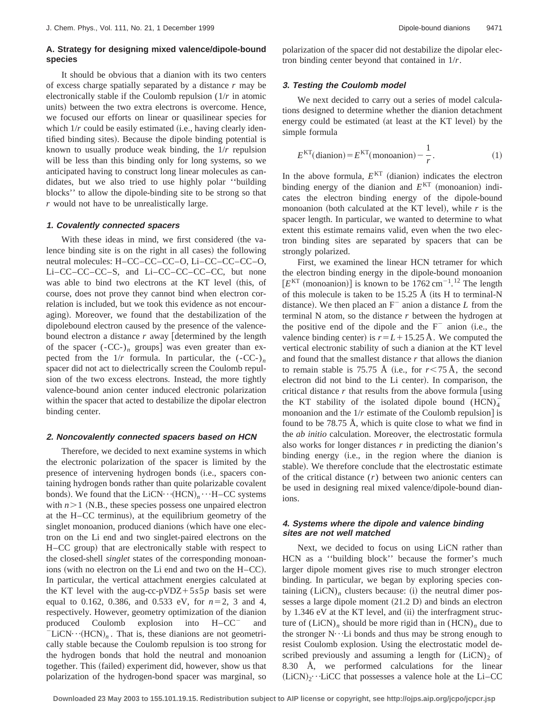# **A. Strategy for designing mixed valence/dipole-bound species**

It should be obvious that a dianion with its two centers of excess charge spatially separated by a distance *r* may be electronically stable if the Coulomb repulsion (1/*r* in atomic units) between the two extra electrons is overcome. Hence, we focused our efforts on linear or quasilinear species for which  $1/r$  could be easily estimated (i.e., having clearly identified binding sites). Because the dipole binding potential is known to usually produce weak binding, the 1/*r* repulsion will be less than this binding only for long systems, so we anticipated having to construct long linear molecules as candidates, but we also tried to use highly polar ''building blocks'' to allow the dipole-binding site to be strong so that *r* would not have to be unrealistically large.

### **1. Covalently connected spacers**

With these ideas in mind, we first considered (the valence binding site is on the right in all cases) the following neutral molecules: H–CC–CC–CC–O, Li–CC–CC–CC–O, Li–CC–CC–CC–S, and Li–CC–CC–CC–CC, but none was able to bind two electrons at the KT level (this, of course, does not prove they cannot bind when electron correlation is included, but we took this evidence as not encouraging). Moreover, we found that the destabilization of the dipolebound electron caused by the presence of the valencebound electron a distance  $r$  away [determined by the length of the spacer  $(-CC<sub>-</sub>)<sub>n</sub>$  groups was even greater than expected from the  $1/r$  formula. In particular, the  $(-CC<sub>-</sub>)<sub>n</sub>$ spacer did not act to dielectrically screen the Coulomb repulsion of the two excess electrons. Instead, the more tightly valence-bound anion center induced electronic polarization within the spacer that acted to destabilize the dipolar electron binding center.

#### **2. Noncovalently connected spacers based on HCN**

Therefore, we decided to next examine systems in which the electronic polarization of the spacer is limited by the presence of intervening hydrogen bonds (i.e., spacers containing hydrogen bonds rather than quite polarizable covalent bonds). We found that the  $LiCN~·~(HCN)$ <sub>*n*</sub> $\cdots$ H–CC systems with  $n>1$  (N.B., these species possess one unpaired electron at the H–CC terminus), at the equilibrium geometry of the singlet monoanion, produced dianions (which have one electron on the Li end and two singlet-paired electrons on the H–CC group) that are electronically stable with respect to the closed-shell *singlet* states of the corresponding monoanions (with no electron on the Li end and two on the  $H-CC$ ). In particular, the vertical attachment energies calculated at the KT level with the aug-cc-pVDZ+5 $s5p$  basis set were equal to 0.162, 0.386, and 0.533 eV, for  $n=2$ , 3 and 4, respectively. However, geometry optimization of the dianion produced Coulomb explosion into  $H-CC$ <sup>-</sup> and  $\text{LiCN}\cdots(\text{HCN})_n$ . That is, these dianions are not geometrically stable because the Coulomb repulsion is too strong for the hydrogen bonds that hold the neutral and monoanion together. This (failed) experiment did, however, show us that polarization of the hydrogen-bond spacer was marginal, so

#### **3. Testing the Coulomb model**

We next decided to carry out a series of model calculations designed to determine whether the dianion detachment energy could be estimated (at least at the KT level) by the simple formula

$$
E^{KT}(\text{dianion}) = E^{KT}(\text{mononion}) - \frac{1}{r}.
$$
 (1)

In the above formula,  $E<sup>KT</sup>$  (dianion) indicates the electron binding energy of the dianion and  $E<sup>KT</sup>$  (monoanion) indicates the electron binding energy of the dipole-bound monoanion (both calculated at the KT level), while  $r$  is the spacer length. In particular, we wanted to determine to what extent this estimate remains valid, even when the two electron binding sites are separated by spacers that can be strongly polarized.

First, we examined the linear HCN tetramer for which the electron binding energy in the dipole-bound monoanion  $[E<sup>KT</sup>$  (monoanion)] is known to be  $1762 \text{ cm}^{-1}$ .<sup>12</sup> The length of this molecule is taken to be 15.25 Å (its H to terminal-N distance). We then placed an  $F^-$  anion a distance *L* from the terminal N atom, so the distance *r* between the hydrogen at the positive end of the dipole and the  $F^-$  anion (i.e., the valence binding center) is  $r=L+15.25$  Å. We computed the vertical electronic stability of such a dianion at the KT level and found that the smallest distance *r* that allows the dianion to remain stable is 75.75 Å (i.e., for  $r < 75 \text{ Å}$ , the second electron did not bind to the Li center). In comparison, the critical distance  $r$  that results from the above formula [using] the KT stability of the isolated dipole bound  $(HCN)<sub>4</sub>$ monoanion and the  $1/r$  estimate of the Coulomb repulsion] is found to be 78.75 Å, which is quite close to what we find in the *ab initio* calculation. Moreover, the electrostatic formula also works for longer distances *r* in predicting the dianion's binding energy (i.e., in the region where the dianion is stable). We therefore conclude that the electrostatic estimate of the critical distance (*r*) between two anionic centers can be used in designing real mixed valence/dipole-bound dianions.

# **4. Systems where the dipole and valence binding sites are not well matched**

Next, we decided to focus on using LiCN rather than HCN as a ''building block'' because the former's much larger dipole moment gives rise to much stronger electron binding. In particular, we began by exploring species containing  $(LiCN)$ <sub>n</sub> clusters because: (i) the neutral dimer possesses a large dipole moment  $(21.2 \text{ D})$  and binds an electron by  $1.346$  eV at the KT level, and  $(ii)$  the interfragment structure of  $(LicN)$ <sub>n</sub> should be more rigid than in  $(HCN)$ <sub>n</sub> due to the stronger  $N \cdot L$  bonds and thus may be strong enough to resist Coulomb explosion. Using the electrostatic model described previously and assuming a length for  $(LicN)_2$  of 8.30 Å, we performed calculations for the linear  $(LiCN)_2 \cdot LiCC$  that possesses a valence hole at the Li–CC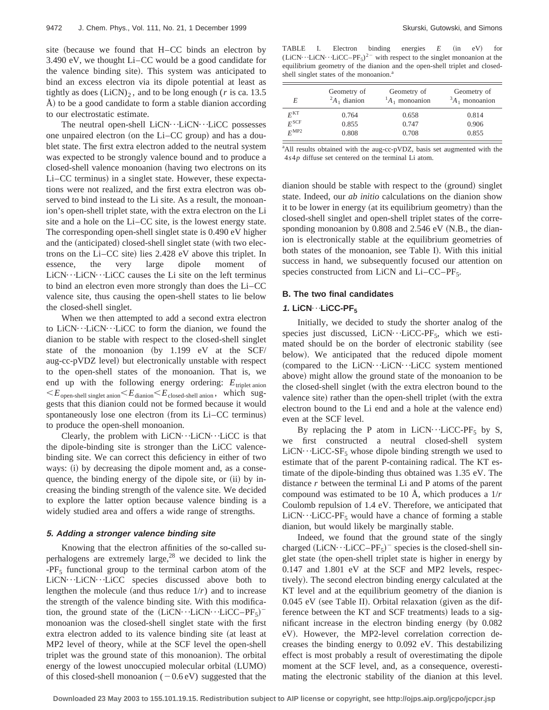site (because we found that  $H-CC$  binds an electron by 3.490 eV, we thought Li–CC would be a good candidate for the valence binding site). This system was anticipated to bind an excess electron via its dipole potential at least as tightly as does  $(LicN)_2$ , and to be long enough (*r* is ca. 13.5)  $\vec{A}$ ) to be a good candidate to form a stable dianion according to our electrostatic estimate.

The neutral open-shell  $LiCN \cdot \cdot LiCN \cdot \cdot LiCC$  possesses one unpaired electron (on the Li–CC group) and has a doublet state. The first extra electron added to the neutral system was expected to be strongly valence bound and to produce a closed-shell valence monoanion (having two electrons on its  $Li-CC$  terminus) in a singlet state. However, these expectations were not realized, and the first extra electron was observed to bind instead to the Li site. As a result, the monoanion's open-shell triplet state, with the extra electron on the Li site and a hole on the Li–CC site, is the lowest energy state. The corresponding open-shell singlet state is 0.490 eV higher and the (anticipated) closed-shell singlet state (with two electrons on the  $Li-CC$  site) lies 2.428 eV above this triplet. In essence, the very large dipole moment of  $LiCN··LiCN··LiCC$  causes the Li site on the left terminus to bind an electron even more strongly than does the Li–CC valence site, thus causing the open-shell states to lie below the closed-shell singlet.

When we then attempted to add a second extra electron to LiCN $\cdots$ LiCN $\cdots$ LiCC to form the dianion, we found the dianion to be stable with respect to the closed-shell singlet state of the monoanion (by  $1.199$  eV at the SCF/ aug-cc-pVDZ level) but electronically unstable with respect to the open-shell states of the monoanion. That is, we end up with the following energy ordering:  $E_{\text{triplet anion}}$  $\leq E_{\text{open-shell singlet anion}} \leq E_{\text{dianion}} \leq E_{\text{closed-shell anion}}$ , which suggests that this dianion could not be formed because it would spontaneously lose one electron (from its Li–CC terminus) to produce the open-shell monoanion.

Clearly, the problem with  $LiCN··LiCN··LiCC$  is that the dipole-binding site is stronger than the LiCC valencebinding site. We can correct this deficiency in either of two ways: (i) by decreasing the dipole moment and, as a consequence, the binding energy of the dipole site, or  $(ii)$  by increasing the binding strength of the valence site. We decided to explore the latter option because valence binding is a widely studied area and offers a wide range of strengths.

#### **5. Adding <sup>a</sup> stronger valence binding site**

Knowing that the electron affinities of the so-called superhalogens are extremely large, $^{28}$  we decided to link the  $-PF_5$  functional group to the terminal carbon atom of the LiCN···LiCN···LiCC species discussed above both to lengthen the molecule (and thus reduce  $1/r$ ) and to increase the strength of the valence binding site. With this modification, the ground state of the  $(LicN\cdots LiCN\cdots LiCC-PF_5)^{-}$ monoanion was the closed-shell singlet state with the first extra electron added to its valence binding site (at least at MP2 level of theory, while at the SCF level the open-shell triplet was the ground state of this monoanion). The orbital energy of the lowest unoccupied molecular orbital (LUMO) of this closed-shell monoanion  $(-0.6 \text{ eV})$  suggested that the

TABLE I. Electron binding energies E (in eV) for  $(LicN\cdots LiCN\cdots LiCC-PF_5)^{2-}$  with respect to the singlet monoanion at the equilibrium geometry of the dianion and the open-shell triplet and closedshell singlet states of the monoanion.<sup>a</sup>

| E                | Geometry of<br>${}^2A_1$ dianion | Geometry of<br>${}^{1}A_1$ monoanion | Geometry of<br>${}^3A_1$ monoanion |
|------------------|----------------------------------|--------------------------------------|------------------------------------|
| $F^{\rm KT}$     | 0.764                            | 0.658                                | 0.814                              |
| $F^{\rm SCF}$    | 0.855                            | 0.747                                | 0.906                              |
| $F^{\text{MP2}}$ | 0.808                            | 0.708                                | 0.855                              |

<sup>a</sup>All results obtained with the aug-cc-pVDZ, basis set augmented with the 4*s*4*p* diffuse set centered on the terminal Li atom.

dianion should be stable with respect to the (ground) singlet state. Indeed, our *ab initio* calculations on the dianion show it to be lower in energy (at its equilibrium geometry) than the closed-shell singlet and open-shell triplet states of the corresponding monoanion by  $0.808$  and  $2.546$  eV (N.B., the dianion is electronically stable at the equilibrium geometries of both states of the monoanion, see Table I). With this initial success in hand, we subsequently focused our attention on species constructed from LiCN and Li–CC–PF $_5$ .

## **B. The two final candidates**

### 1. LiCN<sup> $\cdots$ </sup>LiCC-PF<sub>5</sub>

Initially, we decided to study the shorter analog of the species just discussed, LiCN $\cdot \cdot$ LiCC-PF<sub>5</sub>, which we estimated should be on the border of electronic stability (see below). We anticipated that the reduced dipole moment (compared to the LiCN $\cdots$ LiCN $\cdots$ LiCC system mentioned above) might allow the ground state of the monoanion to be the closed-shell singlet (with the extra electron bound to the valence site) rather than the open-shell triplet (with the extra electron bound to the Li end and a hole at the valence end) even at the SCF level.

By replacing the P atom in LiCN $\cdots$ LiCC-PF<sub>5</sub> by S, we first constructed a neutral closed-shell system  $LiCN \cdot \cdot LiCC-SF_5$  whose dipole binding strength we used to estimate that of the parent P-containing radical. The KT estimate of the dipole-binding thus obtained was 1.35 eV. The distance *r* between the terminal Li and P atoms of the parent compound was estimated to be 10 Å, which produces a 1/*r* Coulomb repulsion of 1.4 eV. Therefore, we anticipated that  $LiCN \cdot \cdot LiCC-PF_5$  would have a chance of forming a stable dianion, but would likely be marginally stable.

Indeed, we found that the ground state of the singly charged  $(LicN \cdots LicC-PF_5)^-$  species is the closed-shell singlet state (the open-shell triplet state is higher in energy by 0.147 and 1.801 eV at the SCF and MP2 levels, respectively). The second electron binding energy calculated at the KT level and at the equilibrium geometry of the dianion is  $0.045$  eV (see Table II). Orbital relaxation (given as the difference between the KT and SCF treatments) leads to a significant increase in the electron binding energy  $(by 0.082)$ eV). However, the MP2-level correlation correction decreases the binding energy to 0.092 eV. This destabilizing effect is most probably a result of overestimating the dipole moment at the SCF level, and, as a consequence, overestimating the electronic stability of the dianion at this level.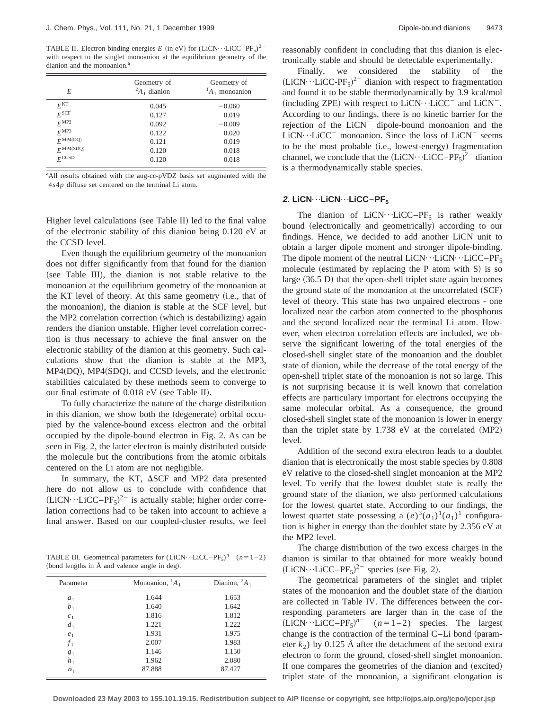TABLE II. Electron binding energies *E* (in eV) for  $(LiCN \cdot \cdot LiCC-PF<sub>5</sub>)<sup>2</sup>$ with respect to the singlet monoanion at the equilibrium geometry of the dianion and the monoanion.<sup>a</sup>

| E                            | Geometry of<br>${}^2A_1$ dianion | Geometry of<br>${}^{1}A_1$ monoanion |
|------------------------------|----------------------------------|--------------------------------------|
| $E^{\text{KT}}$              | 0.045                            | $-0.060$                             |
| $E^{\rm SCF}$                | 0.127                            | 0.019                                |
| $E^{\text{MP2}}$             | 0.092                            | $-0.009$                             |
| $E^{\text{MP3}}$             | 0.122                            | 0.020                                |
| $F^{\text{MP4(DQ)}}$         | 0.121                            | 0.019                                |
| $F^{\text{MP4}(\text{SDQ})}$ | 0.120                            | 0.018                                |
| $F^{\text{CCSD}}$            | 0.120                            | 0.018                                |

<sup>a</sup>All results obtained with the aug-cc-pVDZ basis set augmented with the 4*s*4*p* diffuse set centered on the terminal Li atom.

Higher level calculations (see Table II) led to the final value of the electronic stability of this dianion being 0.120 eV at the CCSD level.

Even though the equilibrium geometry of the monoanion does not differ significantly from that found for the dianion (see Table III), the dianion is not stable relative to the monoanion at the equilibrium geometry of the monoanion at the KT level of theory. At this same geometry (i.e., that of the monoanion), the dianion is stable at the SCF level, but the MP2 correlation correction (which is destabilizing) again renders the dianion unstable. Higher level correlation correction is thus necessary to achieve the final answer on the electronic stability of the dianion at this geometry. Such calculations show that the dianion is stable at the MP3,  $MP4(DO)$ ,  $MP4(SDO)$ , and CCSD levels, and the electronic stabilities calculated by these methods seem to converge to our final estimate of  $0.018$  eV (see Table II).

To fully characterize the nature of the charge distribution in this dianion, we show both the (degenerate) orbital occupied by the valence-bound excess electron and the orbital occupied by the dipole-bound electron in Fig. 2. As can be seen in Fig. 2, the latter electron is mainly distributed outside the molecule but the contributions from the atomic orbitals centered on the Li atom are not negligible.

In summary, the KT,  $\Delta$ SCF and MP2 data presented here do not allow us to conclude with confidence that  $(LiCN \cdot \cdot LiCC-PF_5)^{2-}$  is actually stable; higher order correlation corrections had to be taken into account to achieve a final answer. Based on our coupled-cluster results, we feel

TABLE III. Geometrical parameters for  $(LicN \cdot LicC-PF_5)^{n}$  (*n*=1-2) (bond lengths in  $\AA$  and valence angle in deg).

| Parameter      | Monoanion, ${}^{1}A_1$ | Dianion, ${}^2A_1$ |
|----------------|------------------------|--------------------|
| $a_1$          | 1.644                  | 1.653              |
| b <sub>1</sub> | 1.640                  | 1.642              |
| c <sub>1</sub> | 1.816                  | 1.812              |
| d <sub>1</sub> | 1.221                  | 1.222              |
| $e_1$          | 1.931                  | 1.975              |
| $f_1$          | 2.007                  | 1.983              |
| $g_1$          | 1.146                  | 1.150              |
| $h_1$          | 1.962                  | 2.080              |
| $\alpha_1$     | 87.888                 | 87.427             |

reasonably confident in concluding that this dianion is electronically stable and should be detectable experimentally.

Finally, we considered the stability of the  $(LiCN \cdot \cdot LiCC-PF_5)^{2-}$  dianion with respect to fragmentation and found it to be stable thermodynamically by 3.9 kcal/mol (including ZPE) with respect to  $LiCN \cdot \cdot \cdot LiCC^{-}$  and  $LiCN^{-}$ . According to our findings, there is no kinetic barrier for the rejection of the  $LiCN^-$  dipole-bound monoanion and the  $LiCN \cdot \cdot LiCC$ <sup>-</sup> monoanion. Since the loss of  $LiCN$ <sup>-</sup> seems to be the most probable (i.e., lowest-energy) fragmentation channel, we conclude that the  $(LiCN \cdot LiCC-PF_5)^{2-}$  dianion is a thermodynamically stable species.

### **2. LiCN**⋯LiCN⋯LiCC−PF<sub>5</sub>

The dianion of LiCN $\cdot \cdot$ -LiCC–PF<sub>5</sub> is rather weakly bound (electronically and geometrically) according to our findings. Hence, we decided to add another LiCN unit to obtain a larger dipole moment and stronger dipole-binding. The dipole moment of the neutral LiCN $\cdots$ LiCN $\cdots$ LiCC–PF<sub>5</sub> molecule (estimated by replacing the P atom with  $S$ ) is so large  $(36.5 \text{ D})$  that the open-shell triplet state again becomes the ground state of the monoanion at the uncorrelated  $(SCF)$ level of theory. This state has two unpaired electrons - one localized near the carbon atom connected to the phosphorus and the second localized near the terminal Li atom. However, when electron correlation effects are included, we observe the significant lowering of the total energies of the closed-shell singlet state of the monoanion and the doublet state of dianion, while the decrease of the total energy of the open-shell triplet state of the monoanion is not so large. This is not surprising because it is well known that correlation effects are particulary important for electrons occupying the same molecular orbital. As a consequence, the ground closed-shell singlet state of the monoanion is lower in energy than the triplet state by  $1.738$  eV at the correlated (MP2) level.

Addition of the second extra electron leads to a doublet dianion that is electronically the most stable species by 0.808 eV relative to the closed-shell singlet monoanion at the MP2 level. To verify that the lowest doublet state is really the ground state of the dianion, we also performed calculations for the lowest quartet state. According to our findings, the lowest quartet state possessing a  $(e)^3$  $(a_1)^1$  $(a_1)^1$  configuration is higher in energy than the doublet state by 2.356 eV at the MP2 level.

The charge distribution of the two excess charges in the dianion is similar to that obtained for more weakly bound  $(LiCN \cdot \cdot LiCC-PF_5)^{2-}$  species (see Fig. 2).

The geometrical parameters of the singlet and triplet states of the monoanion and the doublet state of the dianion are collected in Table IV. The differences between the corresponding parameters are larger than in the case of the  $(LiCN \cdot \cdot LiCC-PF_5)^{n}$  (*n*=1-2) species. The largest change is the contraction of the terminal  $C$ –Li bond (parameter  $k_2$ ) by 0.125 Å after the detachment of the second extra electron to form the ground, closed-shell singlet monoanion. If one compares the geometries of the dianion and (excited) triplet state of the monoanion, a significant elongation is

**Downloaded 23 May 2003 to 155.101.19.15. Redistribution subject to AIP license or copyright, see http://ojps.aip.org/jcpo/jcpcr.jsp**